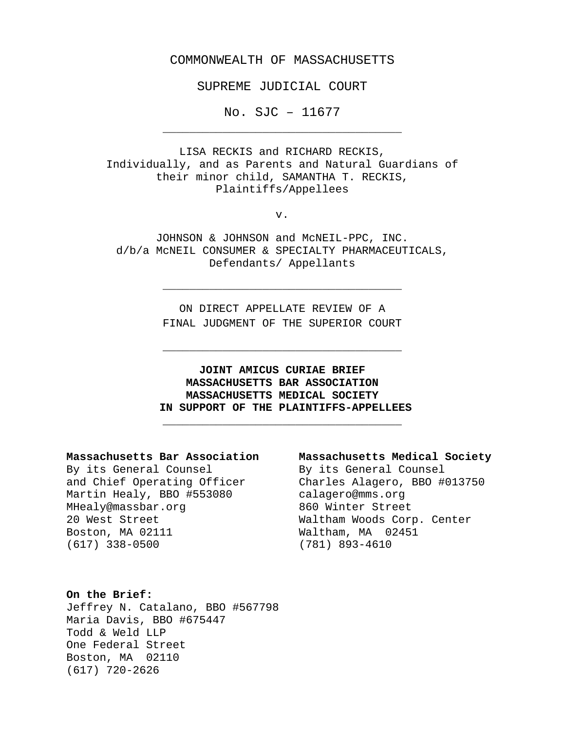## COMMONWEALTH OF MASSACHUSETTS

SUPREME JUDICIAL COURT

No. SJC – 11677 \_\_\_\_\_\_\_\_\_\_\_\_\_\_\_\_\_\_\_\_\_\_\_\_\_\_\_\_\_\_\_\_\_\_\_\_

LISA RECKIS and RICHARD RECKIS, Individually, and as Parents and Natural Guardians of their minor child, SAMANTHA T. RECKIS, Plaintiffs/Appellees

v.

JOHNSON & JOHNSON and McNEIL-PPC, INC. d/b/a McNEIL CONSUMER & SPECIALTY PHARMACEUTICALS, Defendants/ Appellants

> ON DIRECT APPELLATE REVIEW OF A FINAL JUDGMENT OF THE SUPERIOR COURT

> \_\_\_\_\_\_\_\_\_\_\_\_\_\_\_\_\_\_\_\_\_\_\_\_\_\_\_\_\_\_\_\_\_\_\_\_

\_\_\_\_\_\_\_\_\_\_\_\_\_\_\_\_\_\_\_\_\_\_\_\_\_\_\_\_\_\_\_\_\_\_\_\_

# **JOINT AMICUS CURIAE BRIEF MASSACHUSETTS BAR ASSOCIATION MASSACHUSETTS MEDICAL SOCIETY IN SUPPORT OF THE PLAINTIFFS-APPELLEES**

\_\_\_\_\_\_\_\_\_\_\_\_\_\_\_\_\_\_\_\_\_\_\_\_\_\_\_\_\_\_\_\_\_\_\_\_

## **Massachusetts Bar Association Massachusetts Medical Society**

By its General Counsel By its General Counsel<br>and Chief Operating Officer Charles Alagero, BBO # Martin Healy, BBO #553080 calagero@mms.org<br>MHealy@massbar.org 660 Winter Street MHealy@massbar.org 20 West Street Waltham Woods Corp. Center Boston, MA 02111<br>(617) 338-0500

Charles Alagero, BBO #013750<br>calagero@mms.org (781) 893-4610

## **On the Brief:**

Jeffrey N. Catalano, BBO #567798 Maria Davis, BBO #675447 Todd & Weld LLP One Federal Street Boston, MA 02110 (617) 720-2626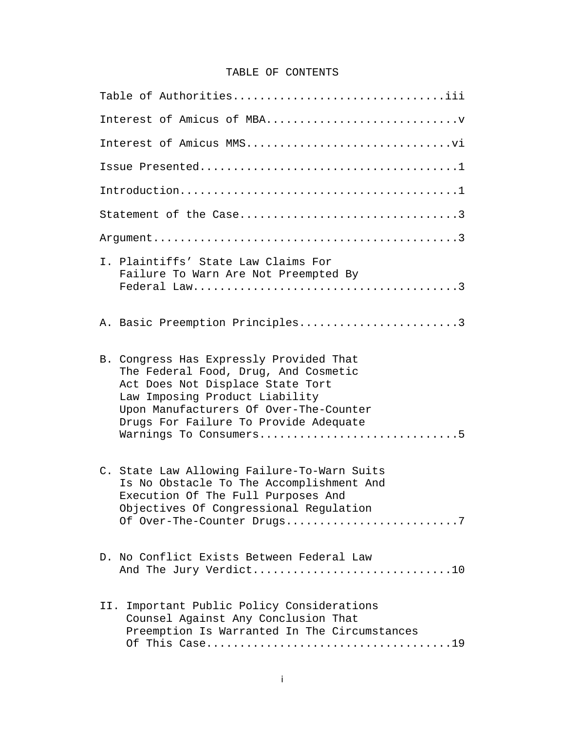# TABLE OF CONTENTS

| Table of Authoritiesiii                                                                                                                                                                                                                                            |  |  |  |  |  |
|--------------------------------------------------------------------------------------------------------------------------------------------------------------------------------------------------------------------------------------------------------------------|--|--|--|--|--|
|                                                                                                                                                                                                                                                                    |  |  |  |  |  |
|                                                                                                                                                                                                                                                                    |  |  |  |  |  |
|                                                                                                                                                                                                                                                                    |  |  |  |  |  |
|                                                                                                                                                                                                                                                                    |  |  |  |  |  |
|                                                                                                                                                                                                                                                                    |  |  |  |  |  |
|                                                                                                                                                                                                                                                                    |  |  |  |  |  |
| I. Plaintiffs' State Law Claims For<br>Failure To Warn Are Not Preempted By                                                                                                                                                                                        |  |  |  |  |  |
| A. Basic Preemption Principles3                                                                                                                                                                                                                                    |  |  |  |  |  |
| B. Congress Has Expressly Provided That<br>The Federal Food, Drug, And Cosmetic<br>Act Does Not Displace State Tort<br>Law Imposing Product Liability<br>Upon Manufacturers Of Over-The-Counter<br>Drugs For Failure To Provide Adequate<br>Warnings To Consumers5 |  |  |  |  |  |
| C. State Law Allowing Failure-To-Warn Suits<br>Is No Obstacle To The Accomplishment And<br>Execution Of The Full Purposes And<br>Objectives Of Congressional Regulation<br>Of Over-The-Counter Drugs7                                                              |  |  |  |  |  |
| D. No Conflict Exists Between Federal Law<br>And The Jury Verdict10                                                                                                                                                                                                |  |  |  |  |  |
| II. Important Public Policy Considerations<br>Counsel Against Any Conclusion That<br>Preemption Is Warranted In The Circumstances                                                                                                                                  |  |  |  |  |  |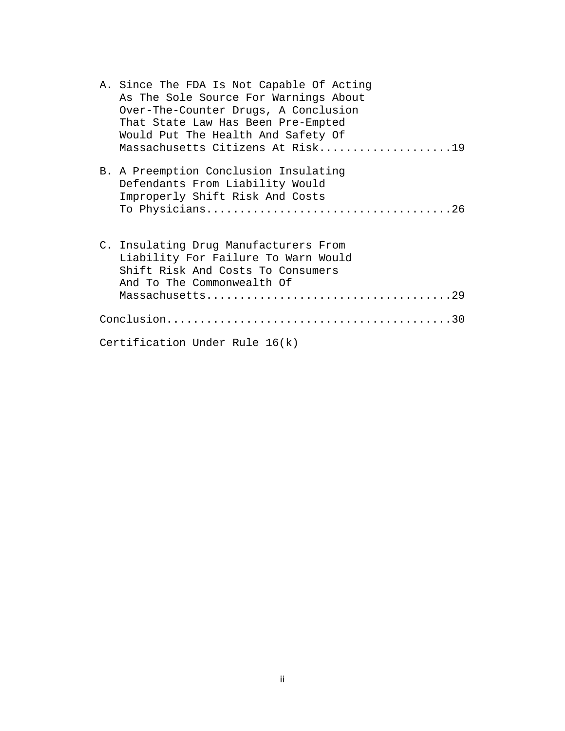| A. Since The FDA Is Not Capable Of Acting<br>As The Sole Source For Warnings About<br>Over-The-Counter Drugs, A Conclusion<br>That State Law Has Been Pre-Empted<br>Would Put The Health And Safety Of<br>Massachusetts Citizens At Risk19 |
|--------------------------------------------------------------------------------------------------------------------------------------------------------------------------------------------------------------------------------------------|
| B. A Preemption Conclusion Insulating<br>Defendants From Liability Would<br>Improperly Shift Risk And Costs                                                                                                                                |
| C. Insulating Drug Manufacturers From<br>Liability For Failure To Warn Would<br>Shift Risk And Costs To Consumers<br>And To The Commonwealth Of                                                                                            |
|                                                                                                                                                                                                                                            |
| Certification Under Rule $16(k)$                                                                                                                                                                                                           |

ii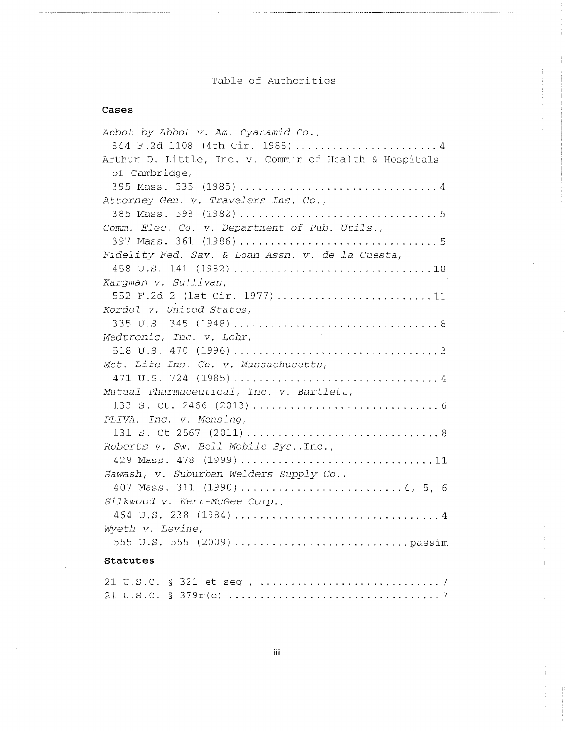# Table of Authorities

## Cases

| Abbot by Abbot v. Am. Cyanamid Co.,                    |
|--------------------------------------------------------|
| 844 F.2d 1108 (4th Cir. 1988) 4                        |
| Arthur D. Little, Inc. v. Comm'r of Health & Hospitals |
| of Cambridge,                                          |
| 395 Mass. 535 (1985)4                                  |
| Attorney Gen. v. Travelers Ins. Co.,                   |
|                                                        |
| Comm. Elec. Co. v. Department of Pub. Utils.,          |
|                                                        |
| Fidelity Fed. Sav. & Loan Assn. v. de la Cuesta,       |
|                                                        |
| Kargman v. Sullivan,                                   |
| 552 F.2d 2 (1st Cir. 1977)11                           |
| Kordel v. United States,                               |
|                                                        |
| $\mathbb{R}^2$<br>Medtronic, Inc. v. Lohr,             |
|                                                        |
| Met. Life Ins. Co. v. Massachusetts,                   |
|                                                        |
| Mutual Pharmaceutical, Inc. v. Bartlett,               |
|                                                        |
| PLIVA, Inc. v. Mensing,                                |
|                                                        |
| Roberts v. Sw. Bell Mobile Sys., Inc.,                 |
| 429 Mass. 478 (1999)11                                 |
| Sawash, v. Suburban Welders Supply Co.,                |
| 407 Mass. 311 (1990)4, 5, 6                            |
| Silkwood v. Kerr-McGee Corp.,                          |
|                                                        |
| Wyeth v. Levine,                                       |
|                                                        |
| Statutes                                               |
|                                                        |
| 21 II S C $\&$ 379 $r(e)$<br>7.                        |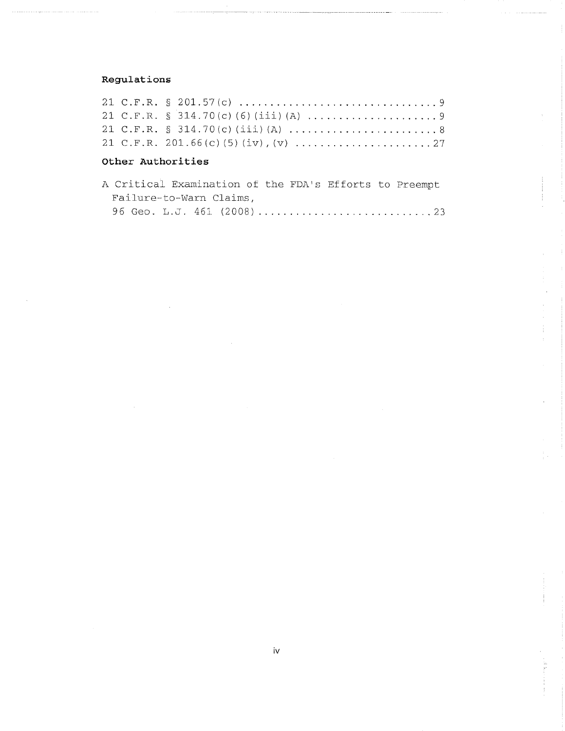# Regulations

## Other Authorities

|                         |  | A Critical Examination of the FDA's Efforts to Preempt |  |  |  |  |  |  |  |  |
|-------------------------|--|--------------------------------------------------------|--|--|--|--|--|--|--|--|
| Failure-to-Warn Claims, |  |                                                        |  |  |  |  |  |  |  |  |
|                         |  |                                                        |  |  |  |  |  |  |  |  |

The Parties of the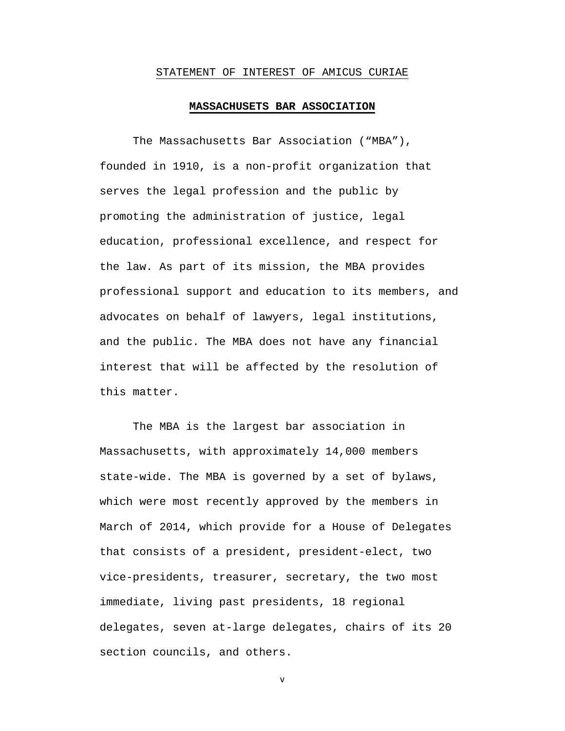#### STATEMENT OF INTEREST OF AMICUS CURIAE

#### **MASSACHUSETS BAR ASSOCIATION**

The Massachusetts Bar Association ("MBA"), founded in 1910, is a non-profit organization that serves the legal profession and the public by promoting the administration of justice, legal education, professional excellence, and respect for the law. As part of its mission, the MBA provides professional support and education to its members, and advocates on behalf of lawyers, legal institutions, and the public. The MBA does not have any financial interest that will be affected by the resolution of this matter.

The MBA is the largest bar association in Massachusetts, with approximately 14,000 members state-wide. The MBA is governed by a set of bylaws, which were most recently approved by the members in March of 2014, which provide for a House of Delegates that consists of a president, president-elect, two vice-presidents, treasurer, secretary, the two most immediate, living past presidents, 18 regional delegates, seven at-large delegates, chairs of its 20 section councils, and others.

v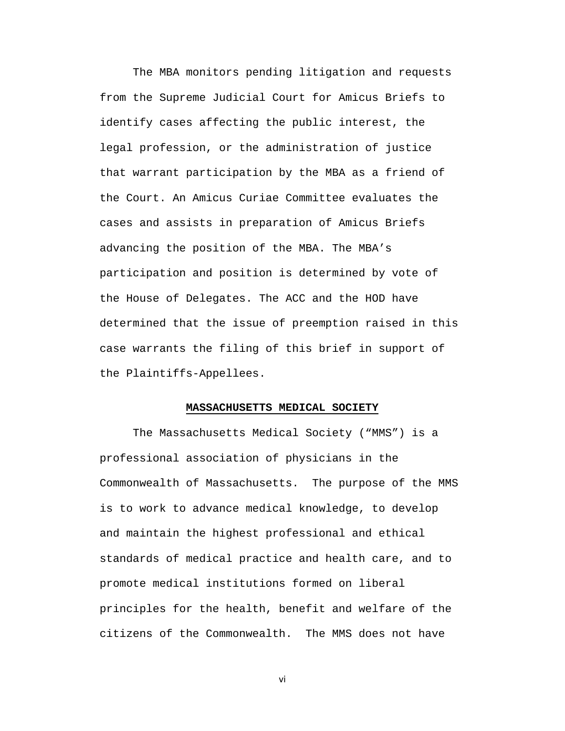The MBA monitors pending litigation and requests from the Supreme Judicial Court for Amicus Briefs to identify cases affecting the public interest, the legal profession, or the administration of justice that warrant participation by the MBA as a friend of the Court. An Amicus Curiae Committee evaluates the cases and assists in preparation of Amicus Briefs advancing the position of the MBA. The MBA's participation and position is determined by vote of the House of Delegates. The ACC and the HOD have determined that the issue of preemption raised in this case warrants the filing of this brief in support of the Plaintiffs-Appellees.

#### **MASSACHUSETTS MEDICAL SOCIETY**

The Massachusetts Medical Society ("MMS") is a professional association of physicians in the Commonwealth of Massachusetts. The purpose of the MMS is to work to advance medical knowledge, to develop and maintain the highest professional and ethical standards of medical practice and health care, and to promote medical institutions formed on liberal principles for the health, benefit and welfare of the citizens of the Commonwealth. The MMS does not have

vi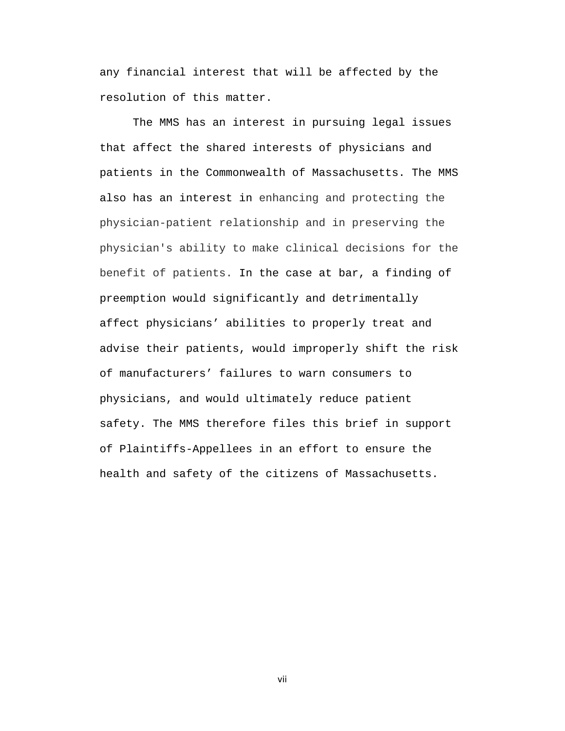any financial interest that will be affected by the resolution of this matter.

The MMS has an interest in pursuing legal issues that affect the shared interests of physicians and patients in the Commonwealth of Massachusetts. The MMS also has an interest in enhancing and protecting the physician-patient relationship and in preserving the physician's ability to make clinical decisions for the benefit of patients. In the case at bar, a finding of preemption would significantly and detrimentally affect physicians' abilities to properly treat and advise their patients, would improperly shift the risk of manufacturers' failures to warn consumers to physicians, and would ultimately reduce patient safety. The MMS therefore files this brief in support of Plaintiffs-Appellees in an effort to ensure the health and safety of the citizens of Massachusetts.

vii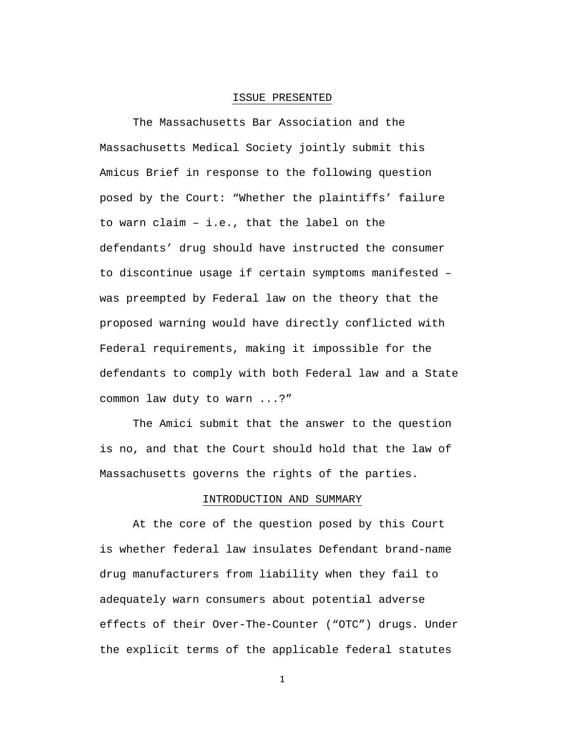#### ISSUE PRESENTED

The Massachusetts Bar Association and the Massachusetts Medical Society jointly submit this Amicus Brief in response to the following question posed by the Court: "Whether the plaintiffs' failure to warn claim – i.e., that the label on the defendants' drug should have instructed the consumer to discontinue usage if certain symptoms manifested – was preempted by Federal law on the theory that the proposed warning would have directly conflicted with Federal requirements, making it impossible for the defendants to comply with both Federal law and a State common law duty to warn ...?"

The Amici submit that the answer to the question is no, and that the Court should hold that the law of Massachusetts governs the rights of the parties.

#### INTRODUCTION AND SUMMARY

At the core of the question posed by this Court is whether federal law insulates Defendant brand-name drug manufacturers from liability when they fail to adequately warn consumers about potential adverse effects of their Over-The-Counter ("OTC") drugs. Under the explicit terms of the applicable federal statutes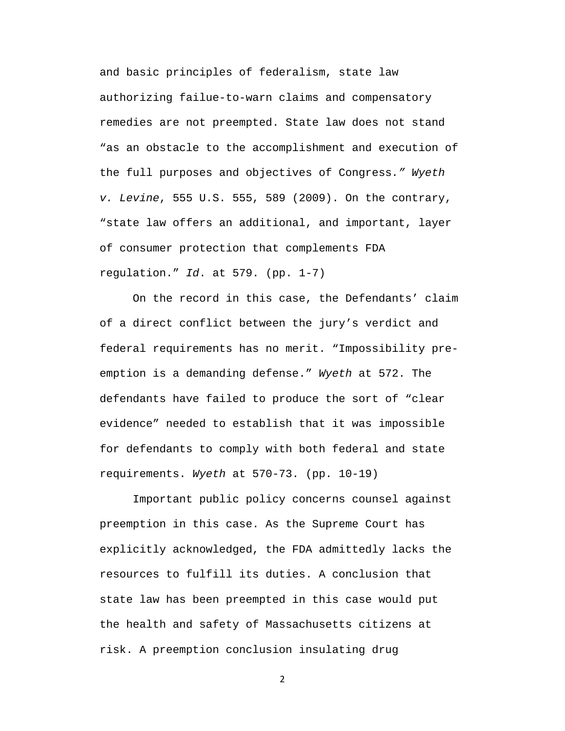and basic principles of federalism, state law authorizing failue-to-warn claims and compensatory remedies are not preempted. State law does not stand "as an obstacle to the accomplishment and execution of the full purposes and objectives of Congress*." Wyeth v. Levine*, 555 U.S. 555, 589 (2009). On the contrary, "state law offers an additional, and important, layer of consumer protection that complements FDA regulation." *Id*. at 579. (pp. 1-7)

On the record in this case, the Defendants' claim of a direct conflict between the jury's verdict and federal requirements has no merit. "Impossibility preemption is a demanding defense." *Wyeth* at 572. The defendants have failed to produce the sort of "clear evidence" needed to establish that it was impossible for defendants to comply with both federal and state requirements. *Wyeth* at 570-73. (pp. 10-19)

Important public policy concerns counsel against preemption in this case. As the Supreme Court has explicitly acknowledged, the FDA admittedly lacks the resources to fulfill its duties. A conclusion that state law has been preempted in this case would put the health and safety of Massachusetts citizens at risk. A preemption conclusion insulating drug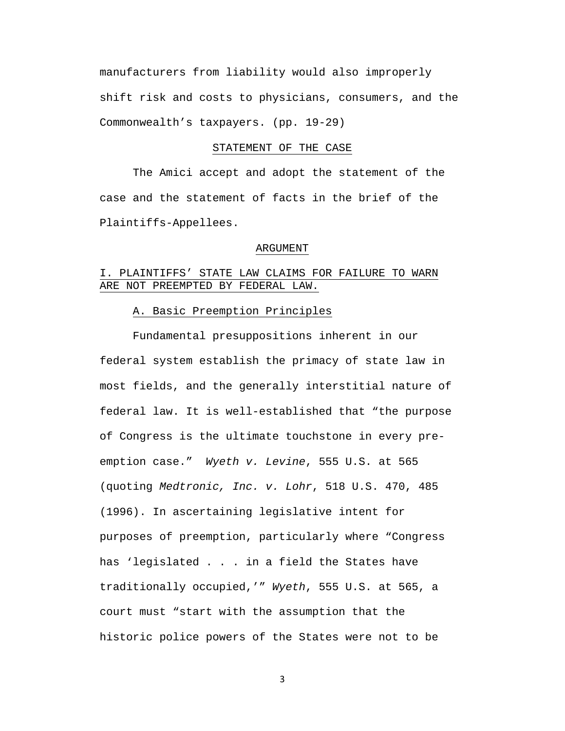manufacturers from liability would also improperly shift risk and costs to physicians, consumers, and the Commonwealth's taxpayers. (pp. 19-29)

#### STATEMENT OF THE CASE

The Amici accept and adopt the statement of the case and the statement of facts in the brief of the Plaintiffs-Appellees.

#### ARGUMENT

## I. PLAINTIFFS' STATE LAW CLAIMS FOR FAILURE TO WARN ARE NOT PREEMPTED BY FEDERAL LAW.

## A. Basic Preemption Principles

Fundamental presuppositions inherent in our federal system establish the primacy of state law in most fields, and the generally interstitial nature of federal law. It is well-established that "the purpose of Congress is the ultimate touchstone in every preemption case." *Wyeth v. Levine*, 555 U.S. at 565 (quoting *Medtronic, Inc. v. Lohr*, 518 U.S. 470, 485 (1996). In ascertaining legislative intent for purposes of preemption, particularly where "Congress has 'legislated . . . in a field the States have traditionally occupied,'" *Wyeth*, 555 U.S. at 565, a court must "start with the assumption that the historic police powers of the States were not to be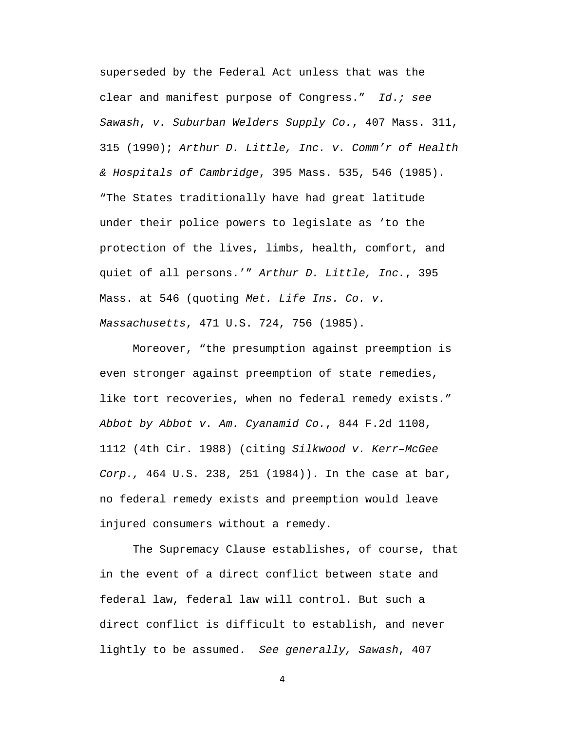superseded by the Federal Act unless that was the clear and manifest purpose of Congress." *Id*.*; see Sawash*, *v. Suburban Welders Supply Co.*, 407 Mass. 311, 315 (1990); *Arthur D. Little, Inc. v. Comm'r of Health & Hospitals of Cambridge*, 395 Mass. 535, 546 (1985). "The States traditionally have had great latitude under their police powers to legislate as 'to the protection of the lives, limbs, health, comfort, and quiet of all persons.'" *Arthur D. Little, Inc.*, 395 Mass. at 546 (quoting *Met. Life Ins. Co. v. Massachusetts*, 471 U.S. 724, 756 (1985).

Moreover, "the presumption against preemption is even stronger against preemption of state remedies, like tort recoveries, when no federal remedy exists." *Abbot by Abbot v. Am. Cyanamid Co.*, 844 F.2d 1108, 1112 (4th Cir. 1988) (citing *Silkwood v. Kerr–McGee Corp.,* 464 U.S. 238, 251 (1984)). In the case at bar, no federal remedy exists and preemption would leave injured consumers without a remedy.

The Supremacy Clause establishes, of course, that in the event of a direct conflict between state and federal law, federal law will control. But such a direct conflict is difficult to establish, and never lightly to be assumed. *See generally, Sawash*, 407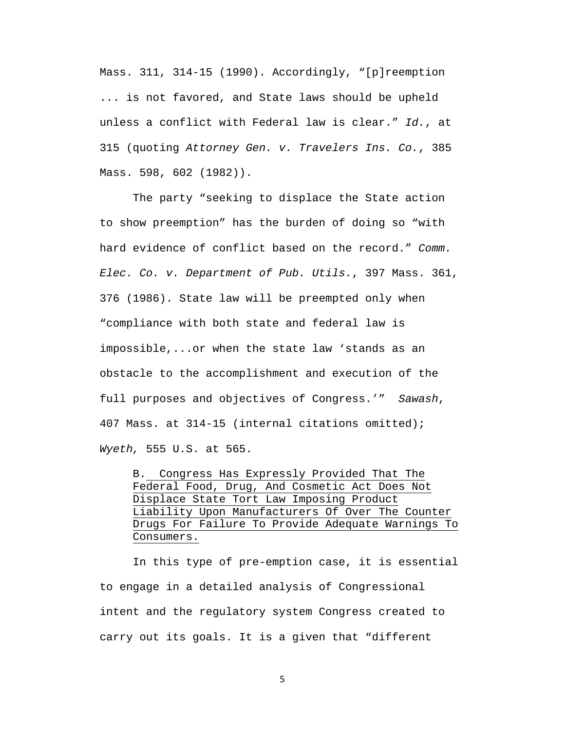Mass. 311, 314-15 (1990). Accordingly, "[p]reemption ... is not favored, and State laws should be upheld unless a conflict with Federal law is clear." *Id.*, at 315 (quoting *Attorney Gen. v. Travelers Ins. Co.*, 385 Mass. 598, 602 (1982)).

The party "seeking to displace the State action to show preemption" has the burden of doing so "with hard evidence of conflict based on the record." *Comm. Elec. Co. v. Department of Pub. Utils.*, 397 Mass. 361, 376 (1986). State law will be preempted only when "compliance with both state and federal law is impossible,...or when the state law 'stands as an obstacle to the accomplishment and execution of the full purposes and objectives of Congress.'" *Sawash*, 407 Mass. at 314-15 (internal citations omitted); *Wyeth,* 555 U.S. at 565.

B. Congress Has Expressly Provided That The Federal Food, Drug, And Cosmetic Act Does Not Displace State Tort Law Imposing Product Liability Upon Manufacturers Of Over The Counter Drugs For Failure To Provide Adequate Warnings To Consumers.

In this type of pre-emption case, it is essential to engage in a detailed analysis of Congressional intent and the regulatory system Congress created to carry out its goals. It is a given that "different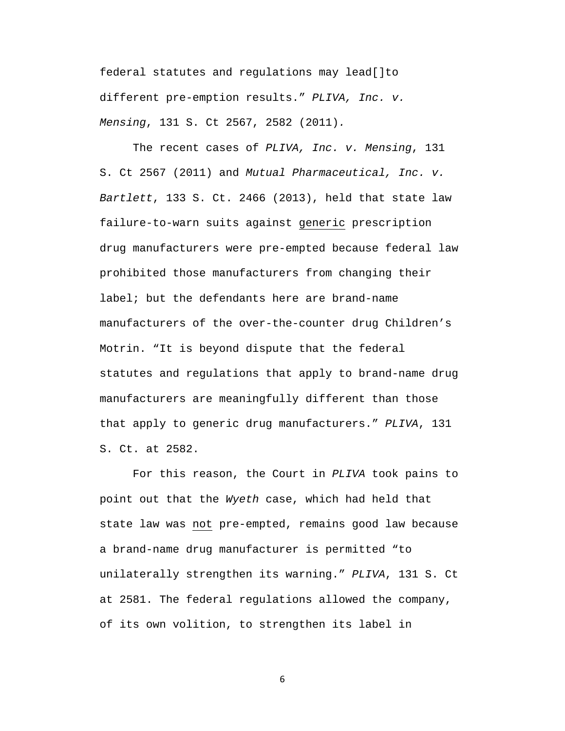federal statutes and regulations may lead[]to different pre-emption results." *PLIVA, Inc. v. Mensing*, 131 S. Ct 2567, 2582 (2011)*.*

The recent cases of *PLIVA, Inc. v. Mensing*, 131 S. Ct 2567 (2011) and *Mutual Pharmaceutical, Inc. v. Bartlett*, 133 S. Ct. 2466 (2013), held that state law failure-to-warn suits against generic prescription drug manufacturers were pre-empted because federal law prohibited those manufacturers from changing their label; but the defendants here are brand-name manufacturers of the over-the-counter drug Children's Motrin. "It is beyond dispute that the federal statutes and regulations that apply to brand-name drug manufacturers are meaningfully different than those that apply to generic drug manufacturers." *PLIVA*, 131 S. Ct. at 2582.

For this reason, the Court in *PLIVA* took pains to point out that the *Wyeth* case, which had held that state law was not pre-empted, remains good law because a brand-name drug manufacturer is permitted "to unilaterally strengthen its warning." *PLIVA*, 131 S. Ct at 2581. The federal regulations allowed the company, of its own volition, to strengthen its label in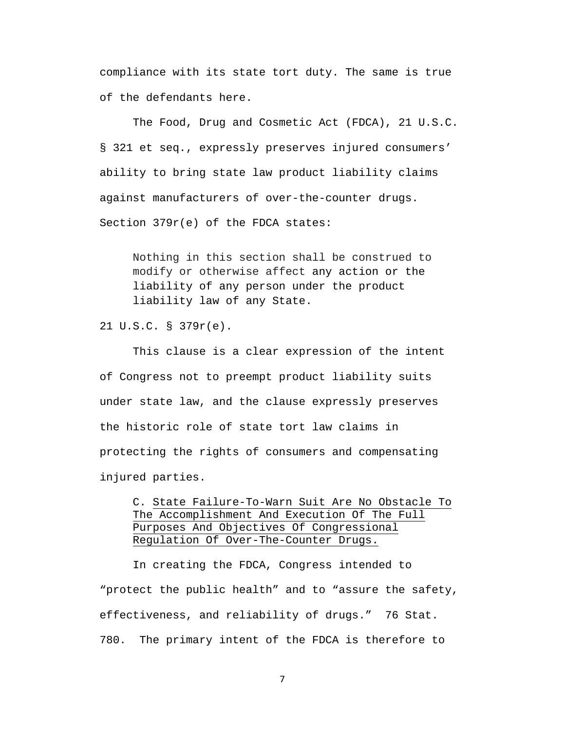compliance with its state tort duty. The same is true of the defendants here.

The Food, Drug and Cosmetic Act (FDCA), 21 U.S.C. § 321 et seq., expressly preserves injured consumers' ability to bring state law product liability claims against manufacturers of over-the-counter drugs. Section 379r(e) of the FDCA states:

Nothing in this section shall be construed to modify or otherwise affect any action or the liability of any person under the product liability law of any State.

21 U.S.C. § 379r(e).

This clause is a clear expression of the intent of Congress not to preempt product liability suits under state law, and the clause expressly preserves the historic role of state tort law claims in protecting the rights of consumers and compensating injured parties.

C. State Failure-To-Warn Suit Are No Obstacle To The Accomplishment And Execution Of The Full Purposes And Objectives Of Congressional Regulation Of Over-The-Counter Drugs.

In creating the FDCA, Congress intended to "protect the public health" and to "assure the safety, effectiveness, and reliability of drugs." 76 Stat. 780. The primary intent of the FDCA is therefore to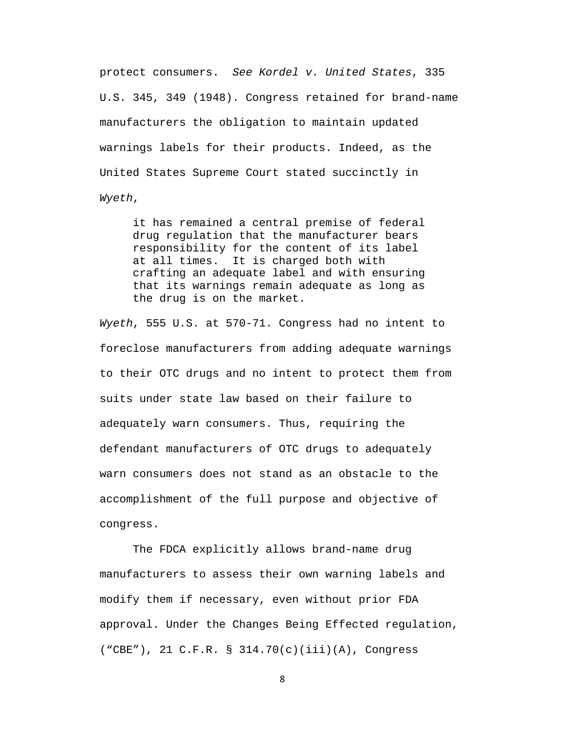protect consumers. *See Kordel v. United States*, 335 U.S. 345, 349 (1948). Congress retained for brand-name manufacturers the obligation to maintain updated warnings labels for their products. Indeed, as the United States Supreme Court stated succinctly in *Wyeth*,

it has remained a central premise of federal drug regulation that the manufacturer bears responsibility for the content of its label at all times. It is charged both with crafting an adequate label and with ensuring that its warnings remain adequate as long as the drug is on the market.

*Wyeth*, 555 U.S. at 570-71. Congress had no intent to foreclose manufacturers from adding adequate warnings to their OTC drugs and no intent to protect them from suits under state law based on their failure to adequately warn consumers. Thus, requiring the defendant manufacturers of OTC drugs to adequately warn consumers does not stand as an obstacle to the accomplishment of the full purpose and objective of congress.

The FDCA explicitly allows brand-name drug manufacturers to assess their own warning labels and modify them if necessary, even without prior FDA approval. Under the Changes Being Effected regulation, ("CBE"), 21 C.F.R. § 314.70(c)(iii)(A), Congress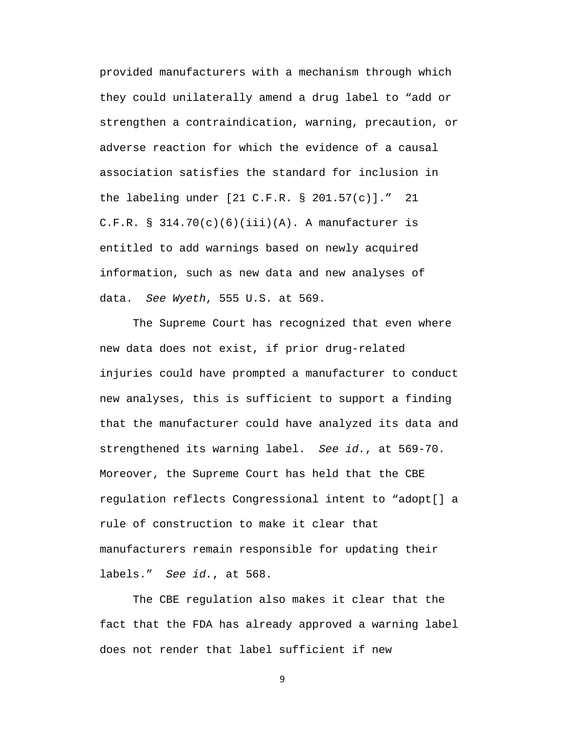provided manufacturers with a mechanism through which they could unilaterally amend a drug label to "add or strengthen a contraindication, warning, precaution, or adverse reaction for which the evidence of a causal association satisfies the standard for inclusion in the labeling under [21 C.F.R. § 201.57(c)]." 21 C.F.R. §  $314.70(c)(6)(iii)(A)$ . A manufacturer is entitled to add warnings based on newly acquired information, such as new data and new analyses of data. *See Wyeth*, 555 U.S. at 569.

The Supreme Court has recognized that even where new data does not exist, if prior drug-related injuries could have prompted a manufacturer to conduct new analyses, this is sufficient to support a finding that the manufacturer could have analyzed its data and strengthened its warning label. *See id.*, at 569-70. Moreover, the Supreme Court has held that the CBE regulation reflects Congressional intent to "adopt[] a rule of construction to make it clear that manufacturers remain responsible for updating their labels." *See id.*, at 568.

The CBE regulation also makes it clear that the fact that the FDA has already approved a warning label does not render that label sufficient if new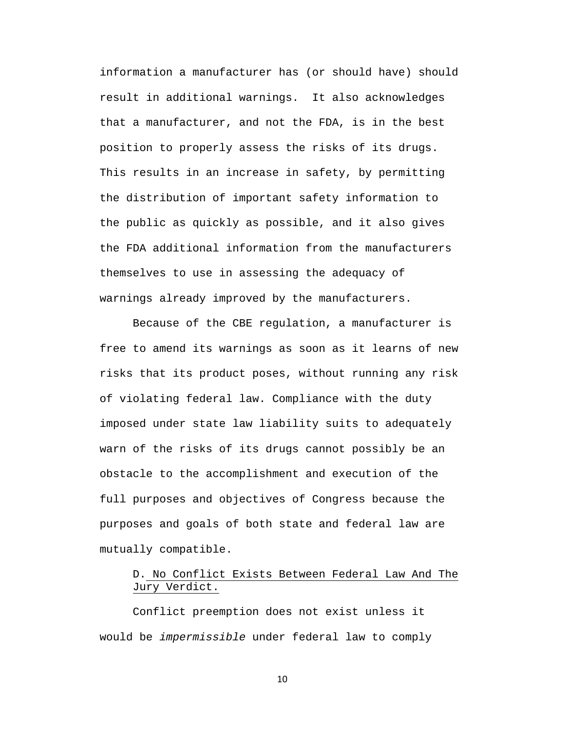information a manufacturer has (or should have) should result in additional warnings. It also acknowledges that a manufacturer, and not the FDA, is in the best position to properly assess the risks of its drugs. This results in an increase in safety, by permitting the distribution of important safety information to the public as quickly as possible, and it also gives the FDA additional information from the manufacturers themselves to use in assessing the adequacy of warnings already improved by the manufacturers.

Because of the CBE regulation, a manufacturer is free to amend its warnings as soon as it learns of new risks that its product poses, without running any risk of violating federal law. Compliance with the duty imposed under state law liability suits to adequately warn of the risks of its drugs cannot possibly be an obstacle to the accomplishment and execution of the full purposes and objectives of Congress because the purposes and goals of both state and federal law are mutually compatible.

# D. No Conflict Exists Between Federal Law And The Jury Verdict.

Conflict preemption does not exist unless it would be *impermissible* under federal law to comply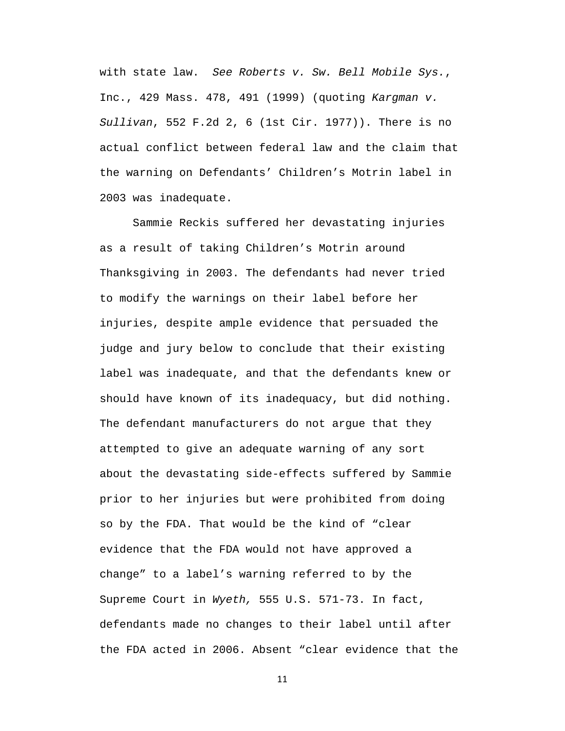with state law. *See Roberts v. Sw. Bell Mobile Sys.*, Inc., 429 Mass. 478, 491 (1999) (quoting *Kargman v. Sullivan*, 552 F.2d 2, 6 (1st Cir. 1977)). There is no actual conflict between federal law and the claim that the warning on Defendants' Children's Motrin label in 2003 was inadequate.

Sammie Reckis suffered her devastating injuries as a result of taking Children's Motrin around Thanksgiving in 2003. The defendants had never tried to modify the warnings on their label before her injuries, despite ample evidence that persuaded the judge and jury below to conclude that their existing label was inadequate, and that the defendants knew or should have known of its inadequacy, but did nothing. The defendant manufacturers do not argue that they attempted to give an adequate warning of any sort about the devastating side-effects suffered by Sammie prior to her injuries but were prohibited from doing so by the FDA. That would be the kind of "clear evidence that the FDA would not have approved a change" to a label's warning referred to by the Supreme Court in *Wyeth,* 555 U.S. 571-73. In fact, defendants made no changes to their label until after the FDA acted in 2006. Absent "clear evidence that the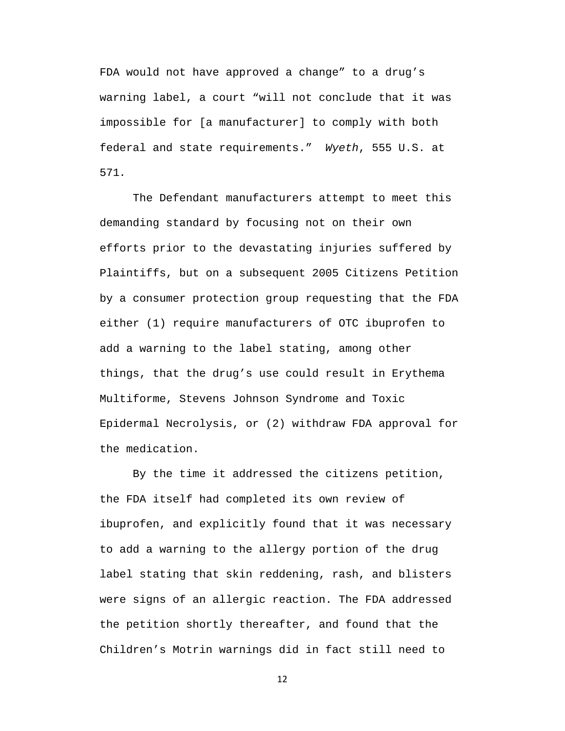FDA would not have approved a change" to a drug's warning label, a court "will not conclude that it was impossible for [a manufacturer] to comply with both federal and state requirements." *Wyeth*, 555 U.S. at 571*.*

The Defendant manufacturers attempt to meet this demanding standard by focusing not on their own efforts prior to the devastating injuries suffered by Plaintiffs, but on a subsequent 2005 Citizens Petition by a consumer protection group requesting that the FDA either (1) require manufacturers of OTC ibuprofen to add a warning to the label stating, among other things, that the drug's use could result in Erythema Multiforme, Stevens Johnson Syndrome and Toxic Epidermal Necrolysis, or (2) withdraw FDA approval for the medication.

By the time it addressed the citizens petition, the FDA itself had completed its own review of ibuprofen, and explicitly found that it was necessary to add a warning to the allergy portion of the drug label stating that skin reddening, rash, and blisters were signs of an allergic reaction. The FDA addressed the petition shortly thereafter, and found that the Children's Motrin warnings did in fact still need to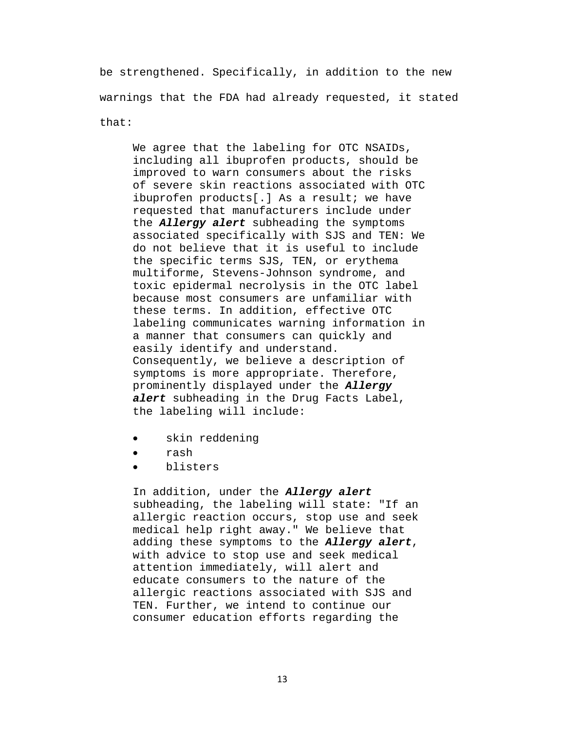be strengthened. Specifically, in addition to the new warnings that the FDA had already requested, it stated that:

We agree that the labeling for OTC NSAIDs, including all ibuprofen products, should be improved to warn consumers about the risks of severe skin reactions associated with OTC ibuprofen products[.] As a result; we have requested that manufacturers include under the *Allergy alert* subheading the symptoms associated specifically with SJS and TEN: We do not believe that it is useful to include the specific terms SJS, TEN, or erythema multiforme, Stevens-Johnson syndrome, and toxic epidermal necrolysis in the OTC label because most consumers are unfamiliar with these terms. In addition, effective OTC labeling communicates warning information in a manner that consumers can quickly and easily identify and understand. Consequently, we believe a description of symptoms is more appropriate. Therefore, prominently displayed under the *Allergy alert* subheading in the Drug Facts Label, the labeling will include:

- skin reddening
- rash
- blisters

In addition, under the *Allergy alert* subheading, the labeling will state: "If an allergic reaction occurs, stop use and seek medical help right away." We believe that adding these symptoms to the *Allergy alert*, with advice to stop use and seek medical attention immediately, will alert and educate consumers to the nature of the allergic reactions associated with SJS and TEN. Further, we intend to continue our consumer education efforts regarding the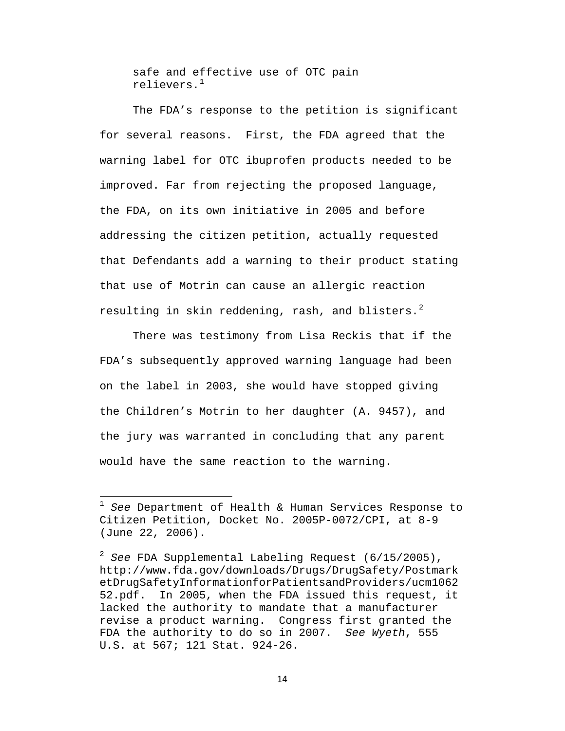safe and effective use of OTC pain relievers.[1](#page-21-0)

The FDA's response to the petition is significant for several reasons. First, the FDA agreed that the warning label for OTC ibuprofen products needed to be improved. Far from rejecting the proposed language, the FDA, on its own initiative in 2005 and before addressing the citizen petition, actually requested that Defendants add a warning to their product stating that use of Motrin can cause an allergic reaction resulting in skin reddening, rash, and blisters.<sup>[2](#page-21-1)</sup>

There was testimony from Lisa Reckis that if the FDA's subsequently approved warning language had been on the label in 2003, she would have stopped giving the Children's Motrin to her daughter (A. 9457), and the jury was warranted in concluding that any parent would have the same reaction to the warning.

l

<span id="page-21-0"></span><sup>1</sup> *See* Department of Health & Human Services Response to Citizen Petition, Docket No. 2005P-0072/CPI, at 8-9 (June 22, 2006).

<span id="page-21-1"></span><sup>2</sup> *See* FDA Supplemental Labeling Request (6/15/2005), http://www.fda.gov/downloads/Drugs/DrugSafety/Postmark etDrugSafetyInformationforPatientsandProviders/ucm1062 52.pdf. In 2005, when the FDA issued this request, it lacked the authority to mandate that a manufacturer revise a product warning. Congress first granted the FDA the authority to do so in 2007. *See Wyeth*, 555 U.S. at 567; 121 Stat. 924-26.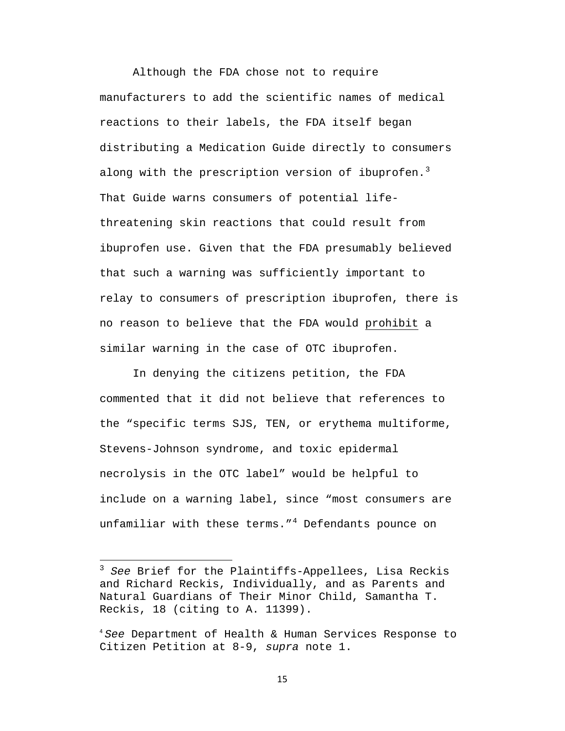Although the FDA chose not to require manufacturers to add the scientific names of medical reactions to their labels, the FDA itself began distributing a Medication Guide directly to consumers along with the prescription version of ibuprofen. $^3$  $^3$ That Guide warns consumers of potential lifethreatening skin reactions that could result from ibuprofen use. Given that the FDA presumably believed that such a warning was sufficiently important to relay to consumers of prescription ibuprofen, there is no reason to believe that the FDA would prohibit a similar warning in the case of OTC ibuprofen.

In denying the citizens petition, the FDA commented that it did not believe that references to the "specific terms SJS, TEN, or erythema multiforme, Stevens-Johnson syndrome, and toxic epidermal necrolysis in the OTC label" would be helpful to include on a warning label, since "most consumers are unfamiliar with these terms."<sup>[4](#page-22-1)</sup> Defendants pounce on

l

<span id="page-22-0"></span><sup>3</sup> *See* Brief for the Plaintiffs-Appellees, Lisa Reckis and Richard Reckis, Individually, and as Parents and Natural Guardians of Their Minor Child, Samantha T. Reckis, 18 (citing to A. 11399).

<span id="page-22-1"></span><sup>4</sup> *See* Department of Health & Human Services Response to Citizen Petition at 8-9, *supra* note 1.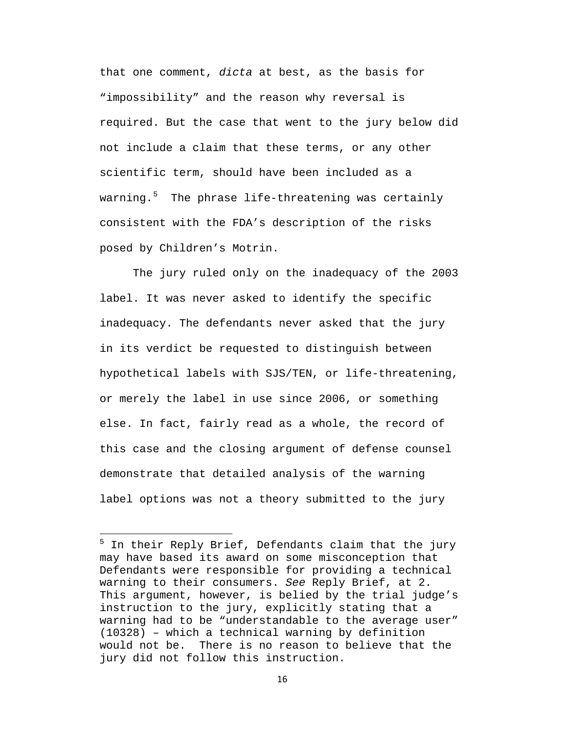that one comment, *dicta* at best, as the basis for "impossibility" and the reason why reversal is required. But the case that went to the jury below did not include a claim that these terms, or any other scientific term, should have been included as a warning.<sup>[5](#page-23-0)</sup> The phrase life-threatening was certainly consistent with the FDA's description of the risks posed by Children's Motrin.

The jury ruled only on the inadequacy of the 2003 label. It was never asked to identify the specific inadequacy. The defendants never asked that the jury in its verdict be requested to distinguish between hypothetical labels with SJS/TEN, or life-threatening, or merely the label in use since 2006, or something else. In fact, fairly read as a whole, the record of this case and the closing argument of defense counsel demonstrate that detailed analysis of the warning label options was not a theory submitted to the jury

l

<span id="page-23-0"></span> $5$  In their Reply Brief, Defendants claim that the jury may have based its award on some misconception that Defendants were responsible for providing a technical warning to their consumers. *See* Reply Brief, at 2. This argument, however, is belied by the trial judge's instruction to the jury, explicitly stating that a warning had to be "understandable to the average user" (10328) – which a technical warning by definition would not be. There is no reason to believe that the jury did not follow this instruction.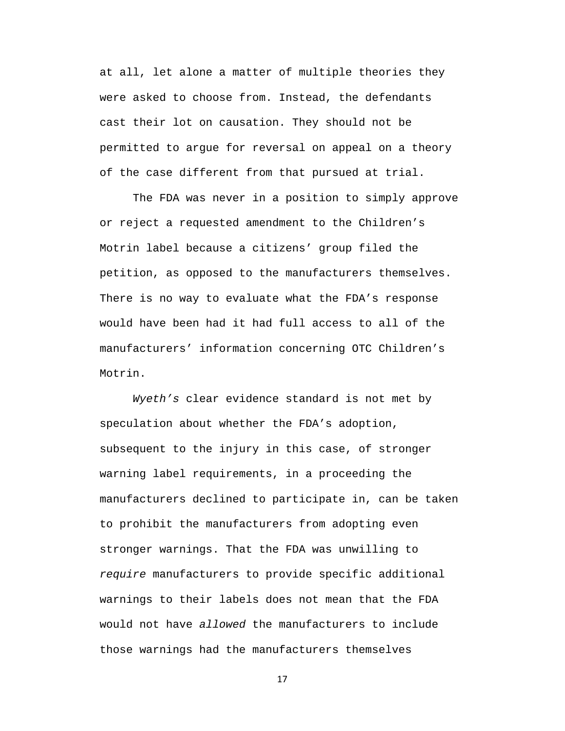at all, let alone a matter of multiple theories they were asked to choose from. Instead, the defendants cast their lot on causation. They should not be permitted to argue for reversal on appeal on a theory of the case different from that pursued at trial.

The FDA was never in a position to simply approve or reject a requested amendment to the Children's Motrin label because a citizens' group filed the petition, as opposed to the manufacturers themselves. There is no way to evaluate what the FDA's response would have been had it had full access to all of the manufacturers' information concerning OTC Children's Motrin.

*Wyeth's* clear evidence standard is not met by speculation about whether the FDA's adoption, subsequent to the injury in this case, of stronger warning label requirements, in a proceeding the manufacturers declined to participate in, can be taken to prohibit the manufacturers from adopting even stronger warnings. That the FDA was unwilling to *require* manufacturers to provide specific additional warnings to their labels does not mean that the FDA would not have *allowed* the manufacturers to include those warnings had the manufacturers themselves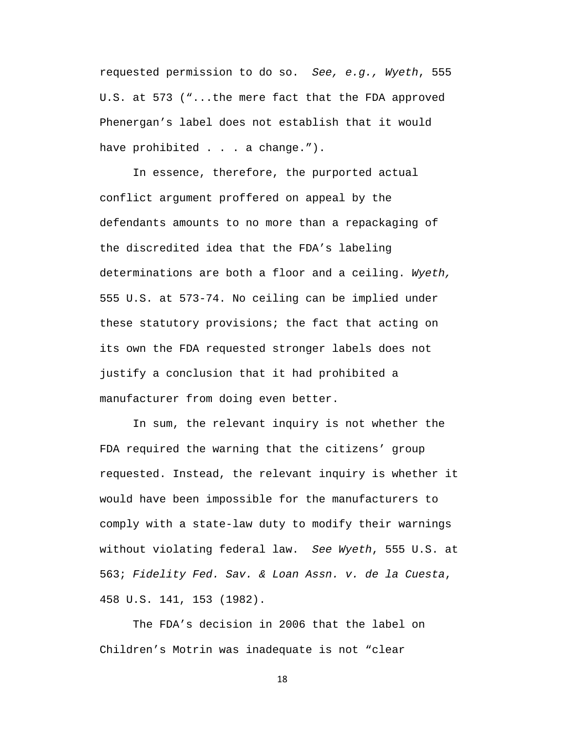requested permission to do so. *See, e.g., Wyeth*, 555 U.S. at 573 ("...the mere fact that the FDA approved Phenergan's label does not establish that it would have prohibited . . . a change.").

In essence, therefore, the purported actual conflict argument proffered on appeal by the defendants amounts to no more than a repackaging of the discredited idea that the FDA's labeling determinations are both a floor and a ceiling. *Wyeth,* 555 U.S. at 573-74. No ceiling can be implied under these statutory provisions; the fact that acting on its own the FDA requested stronger labels does not justify a conclusion that it had prohibited a manufacturer from doing even better.

In sum, the relevant inquiry is not whether the FDA required the warning that the citizens' group requested. Instead, the relevant inquiry is whether it would have been impossible for the manufacturers to comply with a state-law duty to modify their warnings without violating federal law. *See Wyeth*, 555 U.S. at 563; *Fidelity Fed. Sav. & Loan Assn. v. de la Cuesta*, 458 U.S. 141, 153 (1982).

The FDA's decision in 2006 that the label on Children's Motrin was inadequate is not "clear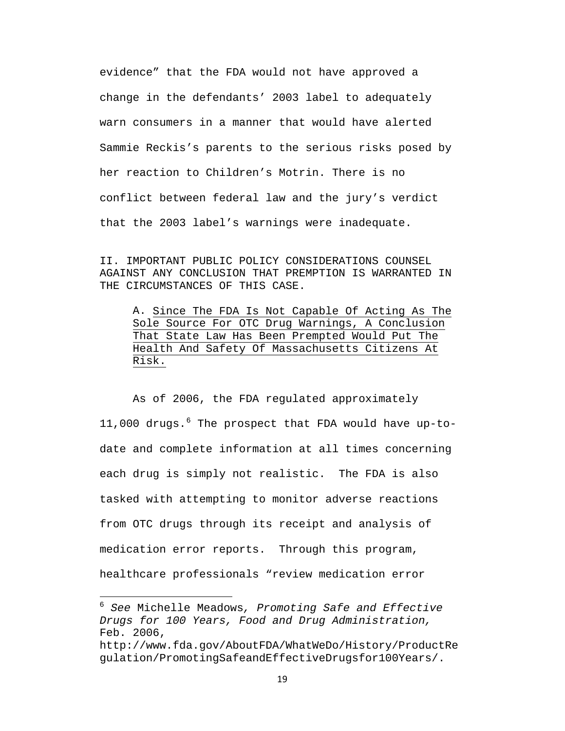evidence" that the FDA would not have approved a change in the defendants' 2003 label to adequately warn consumers in a manner that would have alerted Sammie Reckis's parents to the serious risks posed by her reaction to Children's Motrin. There is no conflict between federal law and the jury's verdict that the 2003 label's warnings were inadequate.

II. IMPORTANT PUBLIC POLICY CONSIDERATIONS COUNSEL AGAINST ANY CONCLUSION THAT PREMPTION IS WARRANTED IN THE CIRCUMSTANCES OF THIS CASE.

A. Since The FDA Is Not Capable Of Acting As The Sole Source For OTC Drug Warnings, A Conclusion That State Law Has Been Prempted Would Put The Health And Safety Of Massachusetts Citizens At Risk.

As of 2006, the FDA regulated approximately 11,000 drugs.  $6$  The prospect that FDA would have up-todate and complete information at all times concerning each drug is simply not realistic. The FDA is also tasked with attempting to monitor adverse reactions from OTC drugs through its receipt and analysis of medication error reports. Through this program, healthcare professionals "review medication error

<span id="page-26-0"></span><sup>6</sup> *See* Michelle Meadows*, Promoting Safe and Effective Drugs for 100 Years, Food and Drug Administration,*  Feb. 2006,

http://www.fda.gov/AboutFDA/WhatWeDo/History/ProductRe gulation/PromotingSafeandEffectiveDrugsfor100Years/.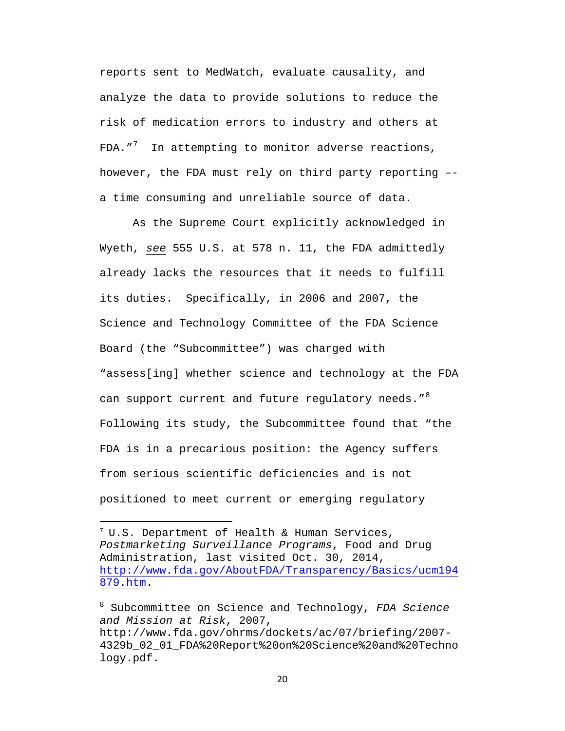reports sent to MedWatch, evaluate causality, and analyze the data to provide solutions to reduce the risk of medication errors to industry and others at FDA."<sup>[7](#page-27-0)</sup> In attempting to monitor adverse reactions, however, the FDA must rely on third party reporting – a time consuming and unreliable source of data.

As the Supreme Court explicitly acknowledged in Wyeth, *see* 555 U.S. at 578 n. 11, the FDA admittedly already lacks the resources that it needs to fulfill its duties. Specifically, in 2006 and 2007, the Science and Technology Committee of the FDA Science Board (the "Subcommittee") was charged with "assess[ing] whether science and technology at the FDA can support current and future regulatory needs."  $8$ Following its study, the Subcommittee found that "the FDA is in a precarious position: the Agency suffers from serious scientific deficiencies and is not positioned to meet current or emerging regulatory

l

<span id="page-27-0"></span> $7 \text{ U.S.}$  Department of Health & Human Services, *Postmarketing Surveillance Programs*, Food and Drug Administration, last visited Oct. 30, 2014, [http://www.fda.gov/AboutFDA/Transparency/Basics/ucm194](http://www.fda.gov/AboutFDA/Transparency/Basics/ucm194879.htm) [879.htm.](http://www.fda.gov/AboutFDA/Transparency/Basics/ucm194879.htm)

<span id="page-27-1"></span><sup>8</sup> Subcommittee on Science and Technology, *FDA Science and Mission at Risk*, 2007, http://www.fda.gov/ohrms/dockets/ac/07/briefing/2007- 4329b\_02\_01\_FDA%20Report%20on%20Science%20and%20Techno logy.pdf.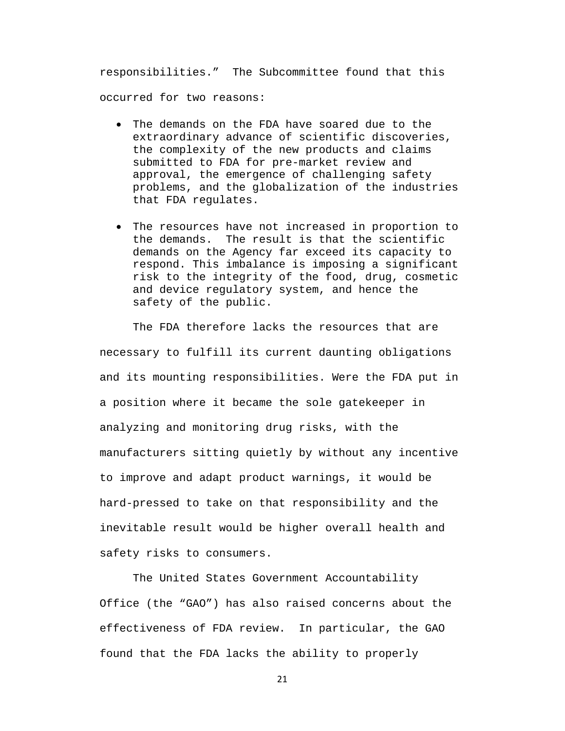responsibilities." The Subcommittee found that this occurred for two reasons:

- The demands on the FDA have soared due to the extraordinary advance of scientific discoveries, the complexity of the new products and claims submitted to FDA for pre-market review and approval, the emergence of challenging safety problems, and the globalization of the industries that FDA regulates.
- The resources have not increased in proportion to the demands. The result is that the scientific demands on the Agency far exceed its capacity to respond. This imbalance is imposing a significant risk to the integrity of the food, drug, cosmetic and device regulatory system, and hence the safety of the public.

The FDA therefore lacks the resources that are necessary to fulfill its current daunting obligations and its mounting responsibilities. Were the FDA put in a position where it became the sole gatekeeper in analyzing and monitoring drug risks, with the manufacturers sitting quietly by without any incentive to improve and adapt product warnings, it would be hard-pressed to take on that responsibility and the inevitable result would be higher overall health and safety risks to consumers.

The United States Government Accountability Office (the "GAO") has also raised concerns about the effectiveness of FDA review. In particular, the GAO found that the FDA lacks the ability to properly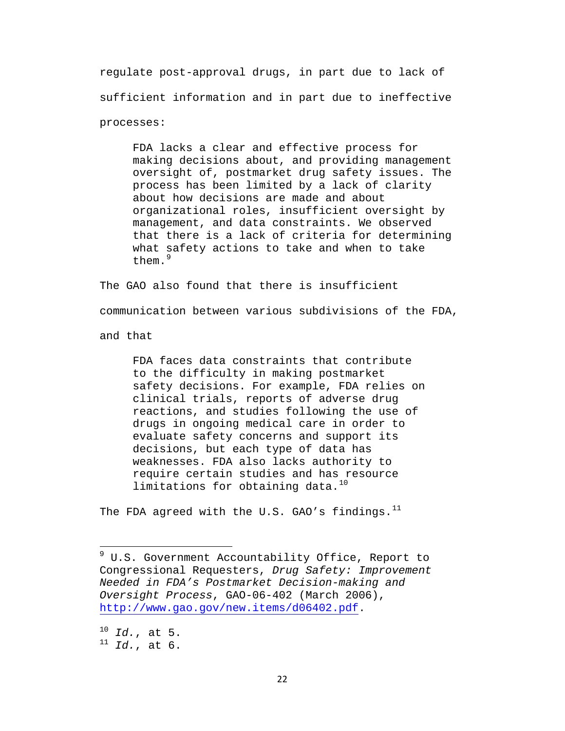regulate post-approval drugs, in part due to lack of sufficient information and in part due to ineffective processes:

FDA lacks a clear and effective process for making decisions about, and providing management oversight of, postmarket drug safety issues. The process has been limited by a lack of clarity about how decisions are made and about organizational roles, insufficient oversight by management, and data constraints. We observed that there is a lack of criteria for determining what safety actions to take and when to take them.<sup>[9](#page-29-0)</sup>

The GAO also found that there is insufficient

communication between various subdivisions of the FDA,

and that

FDA faces data constraints that contribute to the difficulty in making postmarket safety decisions. For example, FDA relies on clinical trials, reports of adverse drug reactions, and studies following the use of drugs in ongoing medical care in order to evaluate safety concerns and support its decisions, but each type of data has weaknesses. FDA also lacks authority to require certain studies and has resource limitations for obtaining data. $10$ 

The FDA agreed with the U.S. GAO's findings.  $^{11}$ 

<span id="page-29-2"></span><span id="page-29-1"></span><sup>10</sup> *Id.*, at 5. <sup>11</sup> *Id.*, at 6.

<span id="page-29-0"></span><sup>&</sup>lt;sup>9</sup> U.S. Government Accountability Office, Report to Congressional Requesters, *Drug Safety: Improvement Needed in FDA's Postmarket Decision-making and Oversight Process*, GAO-06-402 (March 2006), [http://www.gao.gov/new.items/d06402.pdf.](http://www.gao.gov/new.items/d06402.pdf)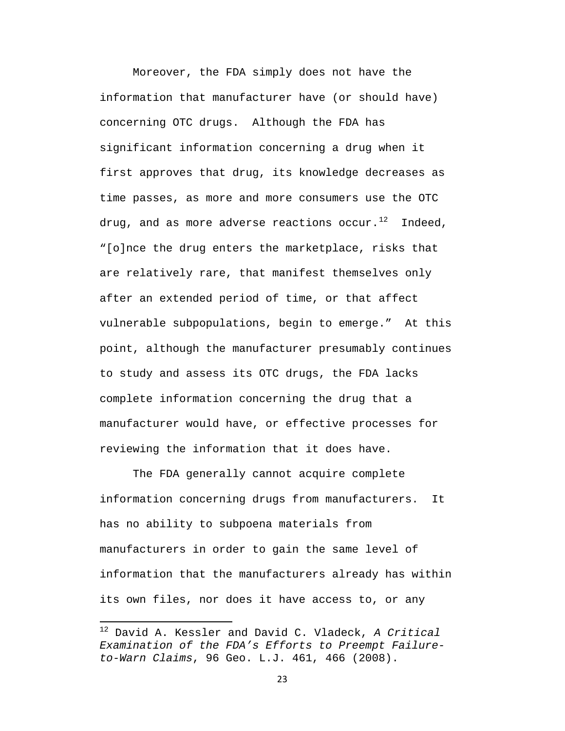Moreover, the FDA simply does not have the information that manufacturer have (or should have) concerning OTC drugs. Although the FDA has significant information concerning a drug when it first approves that drug, its knowledge decreases as time passes, as more and more consumers use the OTC drug, and as more adverse reactions occur.<sup>[12](#page-30-0)</sup> Indeed, "[o]nce the drug enters the marketplace, risks that are relatively rare, that manifest themselves only after an extended period of time, or that affect vulnerable subpopulations, begin to emerge." At this point, although the manufacturer presumably continues to study and assess its OTC drugs, the FDA lacks complete information concerning the drug that a manufacturer would have, or effective processes for reviewing the information that it does have.

The FDA generally cannot acquire complete information concerning drugs from manufacturers. It has no ability to subpoena materials from manufacturers in order to gain the same level of information that the manufacturers already has within its own files, nor does it have access to, or any

<span id="page-30-0"></span><sup>12</sup> David A. Kessler and David C. Vladeck, *A Critical Examination of the FDA's Efforts to Preempt Failureto-Warn Claims*, 96 Geo. L.J. 461, 466 (2008).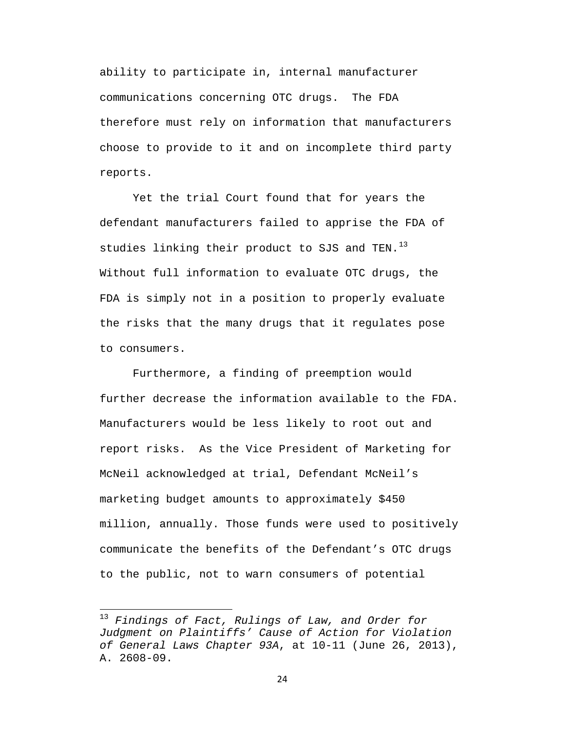ability to participate in, internal manufacturer communications concerning OTC drugs. The FDA therefore must rely on information that manufacturers choose to provide to it and on incomplete third party reports.

Yet the trial Court found that for years the defendant manufacturers failed to apprise the FDA of studies linking their product to SJS and TEN.<sup>[13](#page-31-0)</sup> Without full information to evaluate OTC drugs, the FDA is simply not in a position to properly evaluate the risks that the many drugs that it regulates pose to consumers.

Furthermore, a finding of preemption would further decrease the information available to the FDA. Manufacturers would be less likely to root out and report risks. As the Vice President of Marketing for McNeil acknowledged at trial, Defendant McNeil's marketing budget amounts to approximately \$450 million, annually. Those funds were used to positively communicate the benefits of the Defendant's OTC drugs to the public, not to warn consumers of potential

<span id="page-31-0"></span><sup>13</sup> *Findings of Fact, Rulings of Law, and Order for Judgment on Plaintiffs' Cause of Action for Violation of General Laws Chapter 93A*, at 10-11 (June 26, 2013), A. 2608-09.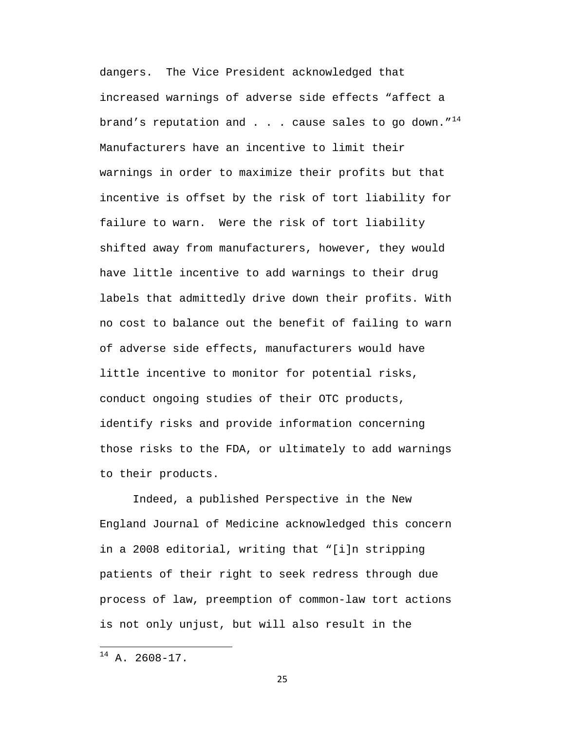dangers. The Vice President acknowledged that increased warnings of adverse side effects "affect a brand's reputation and . . . cause sales to go down." $14$ Manufacturers have an incentive to limit their warnings in order to maximize their profits but that incentive is offset by the risk of tort liability for failure to warn. Were the risk of tort liability shifted away from manufacturers, however, they would have little incentive to add warnings to their drug labels that admittedly drive down their profits. With no cost to balance out the benefit of failing to warn of adverse side effects, manufacturers would have little incentive to monitor for potential risks, conduct ongoing studies of their OTC products, identify risks and provide information concerning those risks to the FDA, or ultimately to add warnings to their products.

Indeed, a published Perspective in the New England Journal of Medicine acknowledged this concern in a 2008 editorial, writing that "[i]n stripping patients of their right to seek redress through due process of law, preemption of common-law tort actions is not only unjust, but will also result in the

<span id="page-32-0"></span><sup>14</sup> A. 2608-17.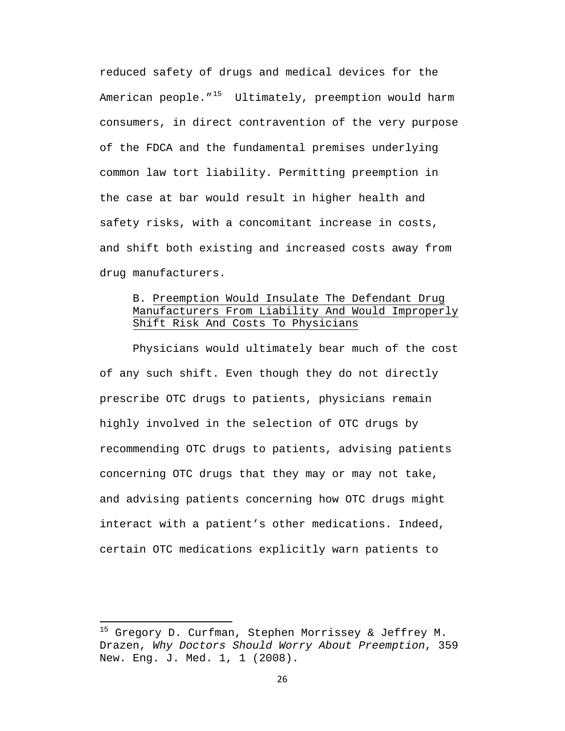reduced safety of drugs and medical devices for the American people. $15$  Ultimately, preemption would harm consumers, in direct contravention of the very purpose of the FDCA and the fundamental premises underlying common law tort liability. Permitting preemption in the case at bar would result in higher health and safety risks, with a concomitant increase in costs, and shift both existing and increased costs away from drug manufacturers.

# B. Preemption Would Insulate The Defendant Drug Manufacturers From Liability And Would Improperly Shift Risk And Costs To Physicians

Physicians would ultimately bear much of the cost of any such shift. Even though they do not directly prescribe OTC drugs to patients, physicians remain highly involved in the selection of OTC drugs by recommending OTC drugs to patients, advising patients concerning OTC drugs that they may or may not take, and advising patients concerning how OTC drugs might interact with a patient's other medications. Indeed, certain OTC medications explicitly warn patients to

<span id="page-33-0"></span><sup>&</sup>lt;sup>15</sup> Gregory D. Curfman, Stephen Morrissey & Jeffrey M. Drazen, *Why Doctors Should Worry About Preemption*, 359 New. Eng. J. Med. 1, 1 (2008).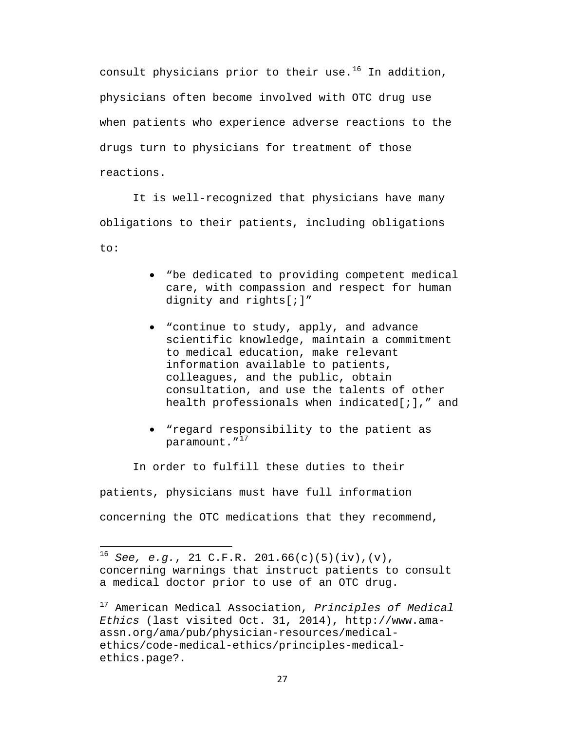consult physicians prior to their use.<sup>[16](#page-34-0)</sup> In addition, physicians often become involved with OTC drug use when patients who experience adverse reactions to the drugs turn to physicians for treatment of those reactions.

It is well-recognized that physicians have many obligations to their patients, including obligations to:

- "be dedicated to providing competent medical care, with compassion and respect for human dignity and rights[;]"
- "continue to study, apply, and advance scientific knowledge, maintain a commitment to medical education, make relevant information available to patients, colleagues, and the public, obtain consultation, and use the talents of other health professionals when indicated[;]," and
- "regard responsibility to the patient as paramount."<sup>[17](#page-34-1)</sup>

In order to fulfill these duties to their patients, physicians must have full information concerning the OTC medications that they recommend,

<span id="page-34-0"></span><sup>16</sup> *See, e.g.*, 21 C.F.R. 201.66(c)(5)(iv),(v), concerning warnings that instruct patients to consult a medical doctor prior to use of an OTC drug.

<span id="page-34-1"></span><sup>17</sup> American Medical Association, *Principles of Medical Ethics* (last visited Oct. 31, 2014), http://www.amaassn.org/ama/pub/physician-resources/medicalethics/code-medical-ethics/principles-medicalethics.page?.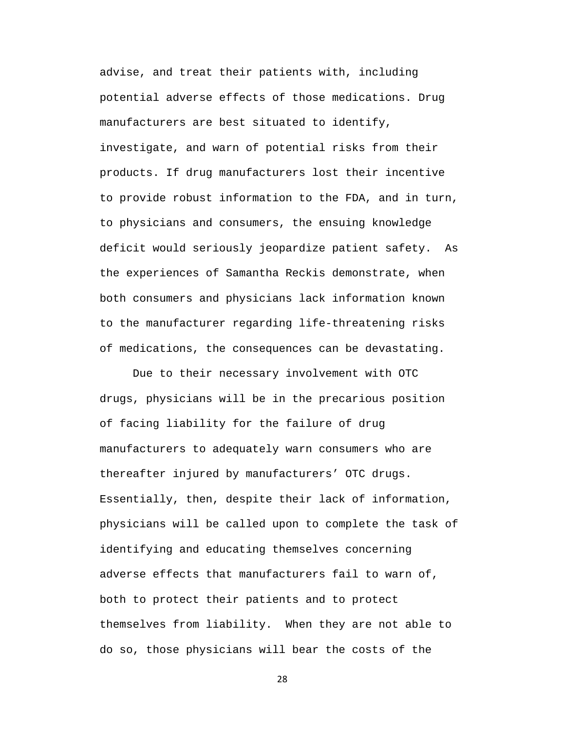advise, and treat their patients with, including potential adverse effects of those medications. Drug manufacturers are best situated to identify, investigate, and warn of potential risks from their products. If drug manufacturers lost their incentive to provide robust information to the FDA, and in turn, to physicians and consumers, the ensuing knowledge deficit would seriously jeopardize patient safety. As the experiences of Samantha Reckis demonstrate, when both consumers and physicians lack information known to the manufacturer regarding life-threatening risks of medications, the consequences can be devastating.

Due to their necessary involvement with OTC drugs, physicians will be in the precarious position of facing liability for the failure of drug manufacturers to adequately warn consumers who are thereafter injured by manufacturers' OTC drugs. Essentially, then, despite their lack of information, physicians will be called upon to complete the task of identifying and educating themselves concerning adverse effects that manufacturers fail to warn of, both to protect their patients and to protect themselves from liability. When they are not able to do so, those physicians will bear the costs of the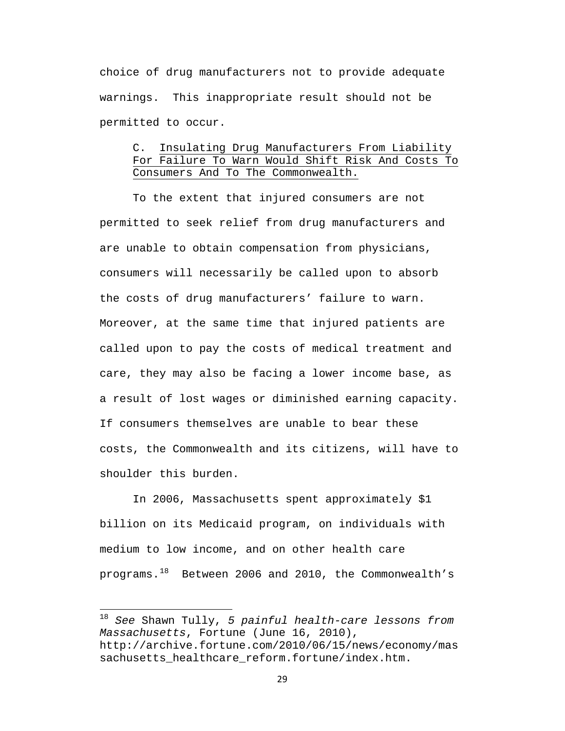choice of drug manufacturers not to provide adequate warnings. This inappropriate result should not be permitted to occur.

# C. Insulating Drug Manufacturers From Liability For Failure To Warn Would Shift Risk And Costs To Consumers And To The Commonwealth.

To the extent that injured consumers are not permitted to seek relief from drug manufacturers and are unable to obtain compensation from physicians, consumers will necessarily be called upon to absorb the costs of drug manufacturers' failure to warn. Moreover, at the same time that injured patients are called upon to pay the costs of medical treatment and care, they may also be facing a lower income base, as a result of lost wages or diminished earning capacity. If consumers themselves are unable to bear these costs, the Commonwealth and its citizens, will have to shoulder this burden.

In 2006, Massachusetts spent approximately \$1 billion on its Medicaid program, on individuals with medium to low income, and on other health care programs.[18](#page-36-0) Between 2006 and 2010, the Commonwealth's

<span id="page-36-0"></span><sup>18</sup> *See* Shawn Tully, *5 painful health-care lessons from Massachusetts*, Fortune (June 16, 2010), http://archive.fortune.com/2010/06/15/news/economy/mas sachusetts\_healthcare\_reform.fortune/index.htm.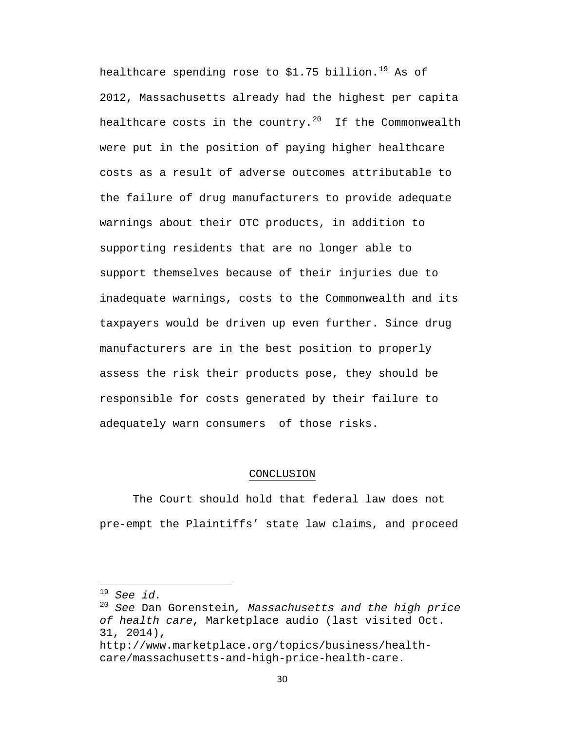healthcare spending rose to \$1.75 billion.<sup>[19](#page-37-0)</sup> As of 2012, Massachusetts already had the highest per capita healthcare costs in the country.<sup>[20](#page-37-1)</sup> If the Commonwealth were put in the position of paying higher healthcare costs as a result of adverse outcomes attributable to the failure of drug manufacturers to provide adequate warnings about their OTC products, in addition to supporting residents that are no longer able to support themselves because of their injuries due to inadequate warnings, costs to the Commonwealth and its taxpayers would be driven up even further. Since drug manufacturers are in the best position to properly assess the risk their products pose, they should be responsible for costs generated by their failure to adequately warn consumers of those risks.

#### CONCLUSION

The Court should hold that federal law does not pre-empt the Plaintiffs' state law claims, and proceed

<span id="page-37-0"></span> $19$  See id.

<span id="page-37-1"></span><sup>19</sup> *See id.*<sup>20</sup> *See* Dan Gorenstein*, Massachusetts and the high price of health care*, Marketplace audio (last visited Oct. 31, 2014),

http://www.marketplace.org/topics/business/healthcare/massachusetts-and-high-price-health-care.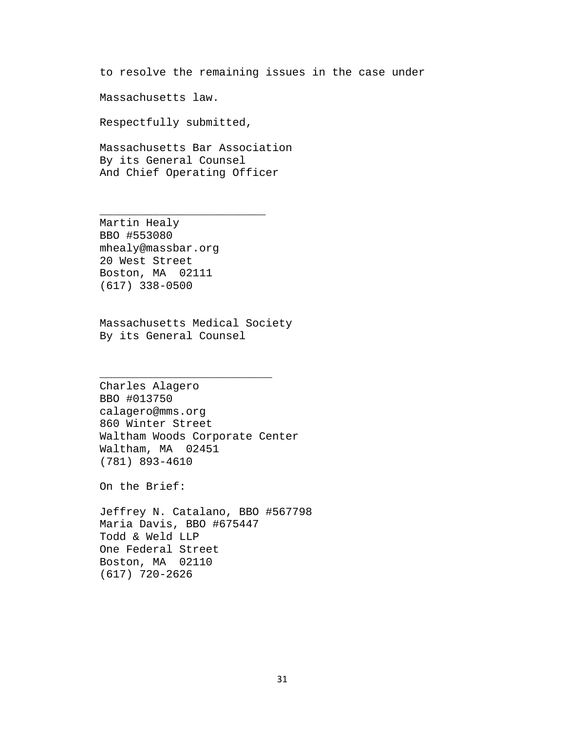to resolve the remaining issues in the case under

Massachusetts law.

Respectfully submitted,

Massachusetts Bar Association By its General Counsel And Chief Operating Officer

\_\_\_\_\_\_\_\_\_\_\_\_\_\_\_\_\_\_\_\_\_\_\_\_\_

Martin Healy BBO #553080 mhealy@massbar.org 20 West Street Boston, MA 02111 (617) 338-0500

Massachusetts Medical Society By its General Counsel

\_\_\_\_\_\_\_\_\_\_\_\_\_\_\_\_\_\_\_\_\_\_\_\_\_\_

Charles Alagero BBO #013750 calagero@mms.org 860 Winter Street Waltham Woods Corporate Center Waltham, MA 02451 (781) 893-4610

On the Brief:

Jeffrey N. Catalano, BBO #567798 Maria Davis, BBO #675447 Todd & Weld LLP One Federal Street Boston, MA 02110 (617) 720-2626